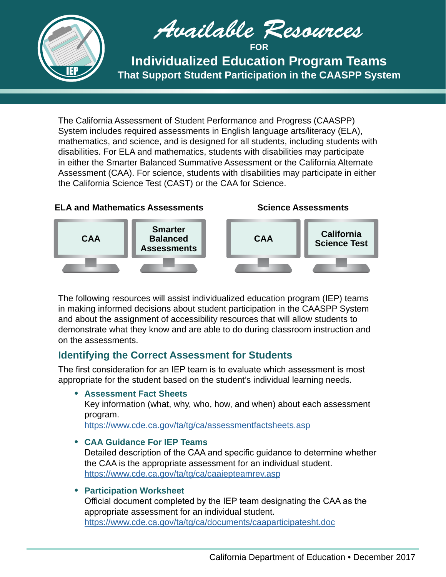

*Available Resources* **FOR**

**Individualized Education Program Teams That Support Student Participation in the CAASPP System**

The California Assessment of Student Performance and Progress (CAASPP) System includes required assessments in English language arts/literacy (ELA), mathematics, and science, and is designed for all students, including students with disabilities. For ELA and mathematics, students with disabilities may participate in either the Smarter Balanced Summative Assessment or the California Alternate Assessment (CAA). For science, students with disabilities may participate in either the California Science Test (CAST) or the CAA for Science.

# **ELA and Mathematics Assessments**





The following resources will assist individualized education program (IEP) teams in making informed decisions about student participation in the CAASPP System and about the assignment of accessibility resources that will allow students to demonstrate what they know and are able to do during classroom instruction and on the assessments.

# **Identifying the Correct Assessment for Students**

The first consideration for an IEP team is to evaluate which assessment is most appropriate for the student based on the student's individual learning needs.

**• Assessment Fact Sheets**

Key information (what, why, who, how, and when) about each assessment program.

<https://www.cde.ca.gov/ta/tg/ca/assessmentfactsheets.asp>

# **• CAA Guidance For IEP Teams**

Detailed description of the CAA and specific guidance to determine whether the CAA is the appropriate assessment for an individual student. <https://www.cde.ca.gov/ta/tg/ca/caaiepteamrev.asp>

# **• Participation Worksheet**

Official document completed by the IEP team designating the CAA as the appropriate assessment for an individual student. <https://www.cde.ca.gov/ta/tg/ca/documents/caaparticipatesht.doc>